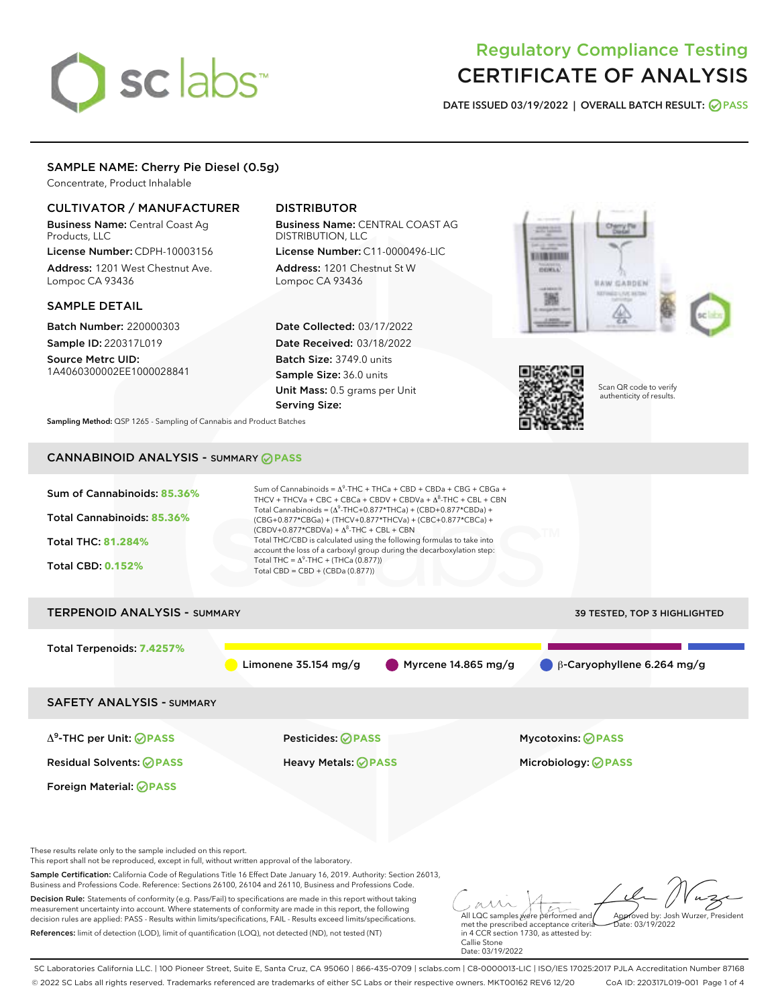# sclabs<sup>\*</sup>

# Regulatory Compliance Testing CERTIFICATE OF ANALYSIS

DATE ISSUED 03/19/2022 | OVERALL BATCH RESULT: @ PASS

# SAMPLE NAME: Cherry Pie Diesel (0.5g)

Concentrate, Product Inhalable

# CULTIVATOR / MANUFACTURER

Business Name: Central Coast Ag Products, LLC

License Number: CDPH-10003156 Address: 1201 West Chestnut Ave. Lompoc CA 93436

# SAMPLE DETAIL

Batch Number: 220000303 Sample ID: 220317L019

Source Metrc UID: 1A4060300002EE1000028841

# DISTRIBUTOR

Business Name: CENTRAL COAST AG DISTRIBUTION, LLC

License Number: C11-0000496-LIC Address: 1201 Chestnut St W Lompoc CA 93436

Date Collected: 03/17/2022 Date Received: 03/18/2022 Batch Size: 3749.0 units Sample Size: 36.0 units Unit Mass: 0.5 grams per Unit Serving Size:





Scan QR code to verify authenticity of results.

Sampling Method: QSP 1265 - Sampling of Cannabis and Product Batches

# CANNABINOID ANALYSIS - SUMMARY **PASS**

| Sum of Cannabinoids: 85.36%<br><b>Total Cannabinoids: 85.36%</b>                                                                                                                                                                                                                                                                                          | Sum of Cannabinoids = $\Delta^9$ -THC + THCa + CBD + CBDa + CBG + CBGa +<br>THCV + THCVa + CBC + CBCa + CBDV + CBDVa + $\Delta^8$ -THC + CBL + CBN<br>Total Cannabinoids = $(\Delta^9$ -THC+0.877*THCa) + (CBD+0.877*CBDa) +<br>(CBG+0.877*CBGa) + (THCV+0.877*THCVa) + (CBC+0.877*CBCa) + |                                                                                                                                         |  |
|-----------------------------------------------------------------------------------------------------------------------------------------------------------------------------------------------------------------------------------------------------------------------------------------------------------------------------------------------------------|--------------------------------------------------------------------------------------------------------------------------------------------------------------------------------------------------------------------------------------------------------------------------------------------|-----------------------------------------------------------------------------------------------------------------------------------------|--|
|                                                                                                                                                                                                                                                                                                                                                           | $(CBDV+0.877*CBDVa) + \Delta^8$ -THC + CBL + CBN                                                                                                                                                                                                                                           |                                                                                                                                         |  |
| <b>Total THC: 81.284%</b>                                                                                                                                                                                                                                                                                                                                 | Total THC/CBD is calculated using the following formulas to take into<br>account the loss of a carboxyl group during the decarboxylation step:                                                                                                                                             |                                                                                                                                         |  |
| <b>Total CBD: 0.152%</b>                                                                                                                                                                                                                                                                                                                                  | Total THC = $\Delta^9$ -THC + (THCa (0.877))<br>Total $CBD = CBD + (CBDa (0.877))$                                                                                                                                                                                                         |                                                                                                                                         |  |
| <b>TERPENOID ANALYSIS - SUMMARY</b>                                                                                                                                                                                                                                                                                                                       |                                                                                                                                                                                                                                                                                            | 39 TESTED, TOP 3 HIGHLIGHTED                                                                                                            |  |
| Total Terpenoids: 7.4257%                                                                                                                                                                                                                                                                                                                                 |                                                                                                                                                                                                                                                                                            |                                                                                                                                         |  |
|                                                                                                                                                                                                                                                                                                                                                           | Limonene $35.154$ mg/g                                                                                                                                                                                                                                                                     | β-Caryophyllene 6.264 mg/g<br>Myrcene 14.865 mg/g                                                                                       |  |
| <b>SAFETY ANALYSIS - SUMMARY</b>                                                                                                                                                                                                                                                                                                                          |                                                                                                                                                                                                                                                                                            |                                                                                                                                         |  |
| $\Delta^9$ -THC per Unit: $\bigotimes$ PASS                                                                                                                                                                                                                                                                                                               | <b>Pesticides: ⊘ PASS</b>                                                                                                                                                                                                                                                                  | Mycotoxins: <b>OPASS</b>                                                                                                                |  |
| <b>Residual Solvents: ⊘PASS</b>                                                                                                                                                                                                                                                                                                                           | <b>Heavy Metals: ⊘ PASS</b>                                                                                                                                                                                                                                                                | Microbiology: <b>⊘PASS</b>                                                                                                              |  |
| Foreign Material: <b>⊘ PASS</b>                                                                                                                                                                                                                                                                                                                           |                                                                                                                                                                                                                                                                                            |                                                                                                                                         |  |
| These results relate only to the sample included on this report.                                                                                                                                                                                                                                                                                          |                                                                                                                                                                                                                                                                                            |                                                                                                                                         |  |
| This report shall not be reproduced, except in full, without written approval of the laboratory.                                                                                                                                                                                                                                                          |                                                                                                                                                                                                                                                                                            |                                                                                                                                         |  |
| Business and Professions Code. Reference: Sections 26100, 26104 and 26110, Business and Professions Code.                                                                                                                                                                                                                                                 | Sample Certification: California Code of Regulations Title 16 Effect Date January 16, 2019. Authority: Section 26013,                                                                                                                                                                      |                                                                                                                                         |  |
| Decision Rule: Statements of conformity (e.g. Pass/Fail) to specifications are made in this report without taking<br>measurement uncertainty into account. Where statements of conformity are made in this report, the following<br>decision rules are applied: PASS - Results within limits/specifications, FAIL - Results exceed limits/specifications. |                                                                                                                                                                                                                                                                                            | All LQC samples were performed and<br>Approved by: Josh Wurzer, President<br>met the prescribed acceptance criteria<br>Date: 03/19/2022 |  |
| References: limit of detection (LOD), limit of quantification (LOQ), not detected (ND), not tested (NT)                                                                                                                                                                                                                                                   |                                                                                                                                                                                                                                                                                            | in 4 CCR section 1730, as attested by:<br>Callie Stone                                                                                  |  |

SC Laboratories California LLC. | 100 Pioneer Street, Suite E, Santa Cruz, CA 95060 | 866-435-0709 | sclabs.com | C8-0000013-LIC | ISO/IES 17025:2017 PJLA Accreditation Number 87168 © 2022 SC Labs all rights reserved. Trademarks referenced are trademarks of either SC Labs or their respective owners. MKT00162 REV6 12/20 CoA ID: 220317L019-001 Page 1 of 4

Date: 03/19/2022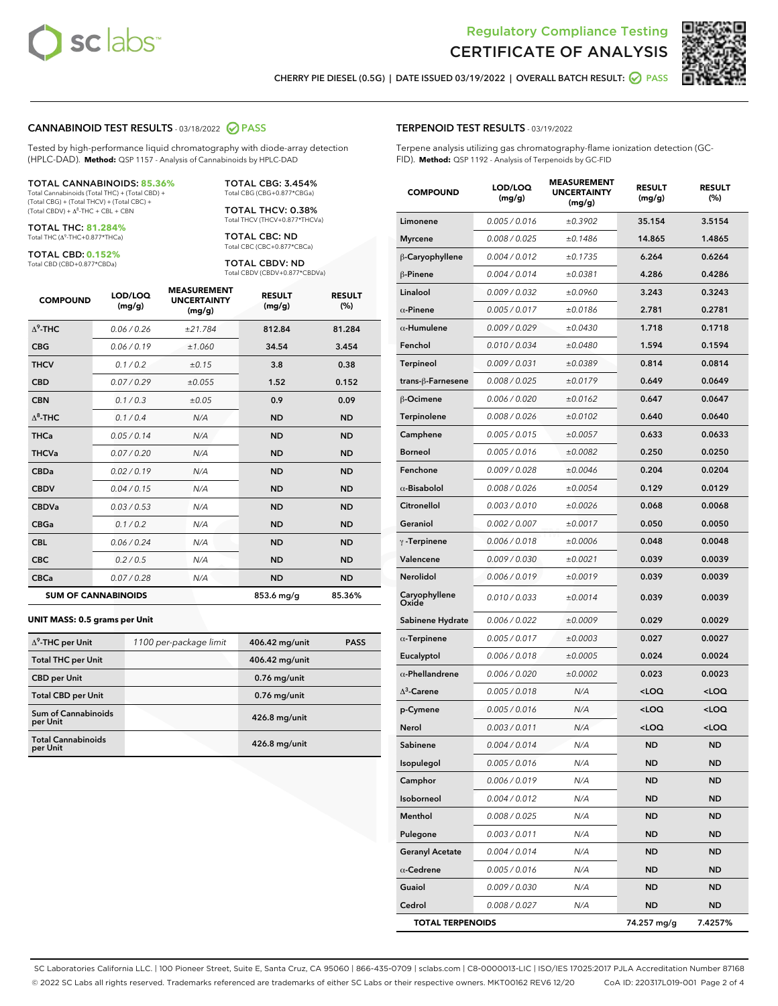



CHERRY PIE DIESEL (0.5G) | DATE ISSUED 03/19/2022 | OVERALL BATCH RESULT: **● PASS** 

## CANNABINOID TEST RESULTS - 03/18/2022 2 PASS

Tested by high-performance liquid chromatography with diode-array detection (HPLC-DAD). **Method:** QSP 1157 - Analysis of Cannabinoids by HPLC-DAD

#### TOTAL CANNABINOIDS: **85.36%**

Total Cannabinoids (Total THC) + (Total CBD) + (Total CBG) + (Total THCV) + (Total CBC) +  $(Total$  CBDV) +  $\Delta$ <sup>8</sup>-THC + CBL + CBN

TOTAL THC: **81.284%** Total THC (Δ<sup>9</sup> -THC+0.877\*THCa)

TOTAL CBD: **0.152%**

Total CBD (CBD+0.877\*CBDa)

TOTAL CBG: 3.454% Total CBG (CBG+0.877\*CBGa)

TOTAL THCV: 0.38% Total THCV (THCV+0.877\*THCVa)

TOTAL CBC: ND Total CBC (CBC+0.877\*CBCa)

TOTAL CBDV: ND Total CBDV (CBDV+0.877\*CBDVa)

| <b>COMPOUND</b>  | LOD/LOQ<br>(mg/g)          | <b>MEASUREMENT</b><br><b>UNCERTAINTY</b><br>(mg/g) | <b>RESULT</b><br>(mg/g) | <b>RESULT</b><br>(%) |
|------------------|----------------------------|----------------------------------------------------|-------------------------|----------------------|
| $\Lambda^9$ -THC | 0.06 / 0.26                | ±21.784                                            | 812.84                  | 81.284               |
| <b>CBG</b>       | 0.06/0.19                  | ±1.060                                             | 34.54                   | 3.454                |
| <b>THCV</b>      | 0.1/0.2                    | ±0.15                                              | 3.8                     | 0.38                 |
| <b>CBD</b>       | 0.07/0.29                  | ±0.055                                             | 1.52                    | 0.152                |
| <b>CBN</b>       | 0.1 / 0.3                  | ±0.05                                              | 0.9                     | 0.09                 |
| $\Delta^8$ -THC  | 0.1/0.4                    | N/A                                                | <b>ND</b>               | <b>ND</b>            |
| <b>THCa</b>      | 0.05/0.14                  | N/A                                                | <b>ND</b>               | <b>ND</b>            |
| <b>THCVa</b>     | 0.07 / 0.20                | N/A                                                | <b>ND</b>               | <b>ND</b>            |
| <b>CBDa</b>      | 0.02/0.19                  | N/A                                                | <b>ND</b>               | <b>ND</b>            |
| <b>CBDV</b>      | 0.04 / 0.15                | N/A                                                | <b>ND</b>               | <b>ND</b>            |
| <b>CBDVa</b>     | 0.03/0.53                  | N/A                                                | <b>ND</b>               | <b>ND</b>            |
| <b>CBGa</b>      | 0.1 / 0.2                  | N/A                                                | <b>ND</b>               | <b>ND</b>            |
| <b>CBL</b>       | 0.06 / 0.24                | N/A                                                | <b>ND</b>               | <b>ND</b>            |
| <b>CBC</b>       | 0.2 / 0.5                  | N/A                                                | <b>ND</b>               | <b>ND</b>            |
| <b>CBCa</b>      | 0.07 / 0.28                | N/A                                                | <b>ND</b>               | <b>ND</b>            |
|                  | <b>SUM OF CANNABINOIDS</b> |                                                    | 853.6 mg/g              | 85.36%               |

#### **UNIT MASS: 0.5 grams per Unit**

| $\Delta^9$ -THC per Unit              | 1100 per-package limit | 406.42 mg/unit | <b>PASS</b> |
|---------------------------------------|------------------------|----------------|-------------|
| <b>Total THC per Unit</b>             |                        | 406.42 mg/unit |             |
| <b>CBD per Unit</b>                   |                        | $0.76$ mg/unit |             |
| <b>Total CBD per Unit</b>             |                        | $0.76$ mg/unit |             |
| Sum of Cannabinoids<br>per Unit       |                        | 426.8 mg/unit  |             |
| <b>Total Cannabinoids</b><br>per Unit |                        | 426.8 mg/unit  |             |

| <b>COMPOUND</b>         | LOD/LOQ<br>(mg/g) | <b>MEASUREMENT</b><br><b>UNCERTAINTY</b><br>(mg/g) | <b>RESULT</b><br>(mg/g)                         | <b>RESULT</b><br>(%) |
|-------------------------|-------------------|----------------------------------------------------|-------------------------------------------------|----------------------|
| Limonene                | 0.005 / 0.016     | ±0.3902                                            | 35.154                                          | 3.5154               |
| <b>Myrcene</b>          | 0.008 / 0.025     | ±0.1486                                            | 14.865                                          | 1.4865               |
| β-Caryophyllene         | 0.004 / 0.012     | ±0.1735                                            | 6.264                                           | 0.6264               |
| β-Pinene                | 0.004 / 0.014     | ±0.0381                                            | 4.286                                           | 0.4286               |
| Linalool                | 0.009 / 0.032     | ±0.0960                                            | 3.243                                           | 0.3243               |
| $\alpha$ -Pinene        | 0.005 / 0.017     | ±0.0186                                            | 2.781                                           | 0.2781               |
| $\alpha$ -Humulene      | 0.009 / 0.029     | ±0.0430                                            | 1.718                                           | 0.1718               |
| Fenchol                 | 0.010 / 0.034     | ±0.0480                                            | 1.594                                           | 0.1594               |
| Terpineol               | 0.009 / 0.031     | ±0.0389                                            | 0.814                                           | 0.0814               |
| trans-β-Farnesene       | 0.008 / 0.025     | ±0.0179                                            | 0.649                                           | 0.0649               |
| β-Ocimene               | 0.006 / 0.020     | ±0.0162                                            | 0.647                                           | 0.0647               |
| Terpinolene             | 0.008 / 0.026     | ±0.0102                                            | 0.640                                           | 0.0640               |
| Camphene                | 0.005 / 0.015     | ±0.0057                                            | 0.633                                           | 0.0633               |
| <b>Borneol</b>          | 0.005 / 0.016     | ±0.0082                                            | 0.250                                           | 0.0250               |
| Fenchone                | 0.009 / 0.028     | ±0.0046                                            | 0.204                                           | 0.0204               |
| $\alpha$ -Bisabolol     | 0.008 / 0.026     | ±0.0054                                            | 0.129                                           | 0.0129               |
| Citronellol             | 0.003 / 0.010     | ±0.0026                                            | 0.068                                           | 0.0068               |
| Geraniol                | 0.002 / 0.007     | ±0.0017                                            | 0.050                                           | 0.0050               |
| $\gamma$ -Terpinene     | 0.006 / 0.018     | ±0.0006                                            | 0.048                                           | 0.0048               |
| Valencene               | 0.009 / 0.030     | ±0.0021                                            | 0.039                                           | 0.0039               |
| Nerolidol               | 0.006 / 0.019     | ±0.0019                                            | 0.039                                           | 0.0039               |
| Caryophyllene<br>Oxide  | 0.010 / 0.033     | ±0.0014                                            | 0.039                                           | 0.0039               |
| Sabinene Hydrate        | 0.006 / 0.022     | ±0.0009                                            | 0.029                                           | 0.0029               |
| $\alpha$ -Terpinene     | 0.005 / 0.017     | ±0.0003                                            | 0.027                                           | 0.0027               |
| Eucalyptol              | 0.006 / 0.018     | ±0.0005                                            | 0.024                                           | 0.0024               |
| $\alpha$ -Phellandrene  | 0.006 / 0.020     | ±0.0002                                            | 0.023                                           | 0.0023               |
| $\Delta^3$ -Carene      | 0.005 / 0.018     | N/A                                                | <loq< th=""><th><loq< th=""></loq<></th></loq<> | <loq< th=""></loq<>  |
| p-Cymene                | 0.005 / 0.016     | N/A                                                | <loq< th=""><th><loq< th=""></loq<></th></loq<> | <loq< th=""></loq<>  |
| Nerol                   | 0.003 / 0.011     | N/A                                                | <loq< th=""><th><loq< th=""></loq<></th></loq<> | <loq< th=""></loq<>  |
| Sabinene                | 0.004 / 0.014     | N/A                                                | <b>ND</b>                                       | ND                   |
| Isopulegol              | 0.005 / 0.016     | N/A                                                | ND                                              | ND                   |
| Camphor                 | 0.006 / 0.019     | N/A                                                | <b>ND</b>                                       | ND                   |
| Isoborneol              | 0.004 / 0.012     | N/A                                                | ND                                              | ND                   |
| Menthol                 | 0.008 / 0.025     | N/A                                                | ND                                              | ND                   |
| Pulegone                | 0.003 / 0.011     | N/A                                                | ND                                              | ND                   |
| <b>Geranyl Acetate</b>  | 0.004 / 0.014     | N/A                                                | ND                                              | ND                   |
| $\alpha$ -Cedrene       | 0.005 / 0.016     | N/A                                                | ND                                              | ND                   |
| Guaiol                  | 0.009 / 0.030     | N/A                                                | ND                                              | ND                   |
| Cedrol                  | 0.008 / 0.027     | N/A                                                | <b>ND</b>                                       | ND                   |
| <b>TOTAL TERPENOIDS</b> |                   |                                                    | 74.257 mg/g                                     | 7.4257%              |

SC Laboratories California LLC. | 100 Pioneer Street, Suite E, Santa Cruz, CA 95060 | 866-435-0709 | sclabs.com | C8-0000013-LIC | ISO/IES 17025:2017 PJLA Accreditation Number 87168 © 2022 SC Labs all rights reserved. Trademarks referenced are trademarks of either SC Labs or their respective owners. MKT00162 REV6 12/20 CoA ID: 220317L019-001 Page 2 of 4

# TERPENOID TEST RESULTS - 03/19/2022

Terpene analysis utilizing gas chromatography-flame ionization detection (GC-FID). **Method:** QSP 1192 - Analysis of Terpenoids by GC-FID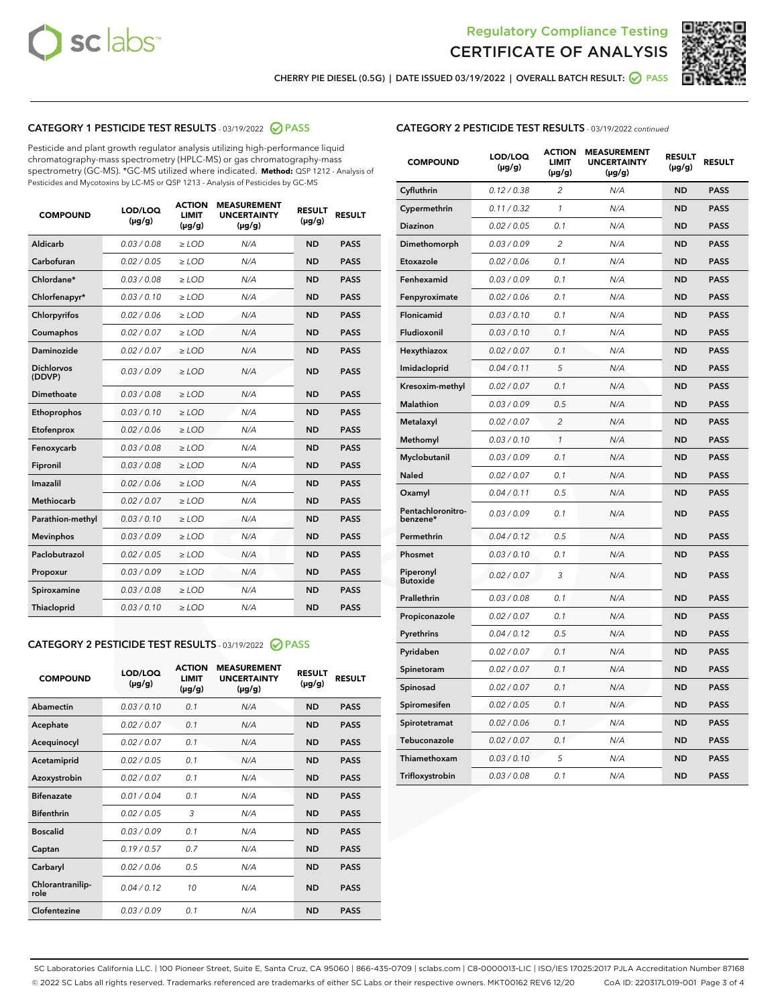



CHERRY PIE DIESEL (0.5G) | DATE ISSUED 03/19/2022 | OVERALL BATCH RESULT: Ø PASS

# CATEGORY 1 PESTICIDE TEST RESULTS - 03/19/2022 2 PASS

Pesticide and plant growth regulator analysis utilizing high-performance liquid chromatography-mass spectrometry (HPLC-MS) or gas chromatography-mass spectrometry (GC-MS). \*GC-MS utilized where indicated. **Method:** QSP 1212 - Analysis of Pesticides and Mycotoxins by LC-MS or QSP 1213 - Analysis of Pesticides by GC-MS

| <b>COMPOUND</b>             | LOD/LOQ<br>$(\mu g/g)$ | <b>ACTION</b><br><b>LIMIT</b><br>$(\mu g/g)$ | <b>MEASUREMENT</b><br><b>UNCERTAINTY</b><br>$(\mu g/g)$ | <b>RESULT</b><br>$(\mu g/g)$ | <b>RESULT</b> |
|-----------------------------|------------------------|----------------------------------------------|---------------------------------------------------------|------------------------------|---------------|
| Aldicarb                    | 0.03 / 0.08            | $\ge$ LOD                                    | N/A                                                     | <b>ND</b>                    | <b>PASS</b>   |
| Carbofuran                  | 0.02 / 0.05            | $\ge$ LOD                                    | N/A                                                     | <b>ND</b>                    | <b>PASS</b>   |
| Chlordane*                  | 0.03 / 0.08            | $\ge$ LOD                                    | N/A                                                     | <b>ND</b>                    | <b>PASS</b>   |
| Chlorfenapyr*               | 0.03/0.10              | $\ge$ LOD                                    | N/A                                                     | <b>ND</b>                    | <b>PASS</b>   |
| Chlorpyrifos                | 0.02/0.06              | $\ge$ LOD                                    | N/A                                                     | <b>ND</b>                    | <b>PASS</b>   |
| Coumaphos                   | 0.02 / 0.07            | $\geq$ LOD                                   | N/A                                                     | <b>ND</b>                    | <b>PASS</b>   |
| Daminozide                  | 0.02 / 0.07            | $>$ LOD                                      | N/A                                                     | <b>ND</b>                    | <b>PASS</b>   |
| <b>Dichlorvos</b><br>(DDVP) | 0.03/0.09              | $\ge$ LOD                                    | N/A                                                     | <b>ND</b>                    | <b>PASS</b>   |
| Dimethoate                  | 0.03/0.08              | $>$ LOD                                      | N/A                                                     | <b>ND</b>                    | <b>PASS</b>   |
| Ethoprophos                 | 0.03/0.10              | $\ge$ LOD                                    | N/A                                                     | <b>ND</b>                    | <b>PASS</b>   |
| Etofenprox                  | 0.02 / 0.06            | $\geq$ LOD                                   | N/A                                                     | <b>ND</b>                    | <b>PASS</b>   |
| Fenoxycarb                  | 0.03/0.08              | $>$ LOD                                      | N/A                                                     | <b>ND</b>                    | <b>PASS</b>   |
| Fipronil                    | 0.03 / 0.08            | $\ge$ LOD                                    | N/A                                                     | <b>ND</b>                    | <b>PASS</b>   |
| Imazalil                    | 0.02 / 0.06            | $>$ LOD                                      | N/A                                                     | <b>ND</b>                    | <b>PASS</b>   |
| <b>Methiocarb</b>           | 0.02 / 0.07            | $\ge$ LOD                                    | N/A                                                     | <b>ND</b>                    | <b>PASS</b>   |
| Parathion-methyl            | 0.03/0.10              | $\geq$ LOD                                   | N/A                                                     | <b>ND</b>                    | <b>PASS</b>   |
| <b>Mevinphos</b>            | 0.03/0.09              | $\ge$ LOD                                    | N/A                                                     | <b>ND</b>                    | <b>PASS</b>   |
| Paclobutrazol               | 0.02 / 0.05            | $\ge$ LOD                                    | N/A                                                     | <b>ND</b>                    | <b>PASS</b>   |
| Propoxur                    | 0.03/0.09              | $\ge$ LOD                                    | N/A                                                     | <b>ND</b>                    | <b>PASS</b>   |
| Spiroxamine                 | 0.03 / 0.08            | $\ge$ LOD                                    | N/A                                                     | <b>ND</b>                    | <b>PASS</b>   |
| Thiacloprid                 | 0.03/0.10              | $>$ LOD                                      | N/A                                                     | <b>ND</b>                    | <b>PASS</b>   |

# CATEGORY 2 PESTICIDE TEST RESULTS - 03/19/2022 @ PASS

| <b>COMPOUND</b>          | LOD/LOQ<br>$(\mu g/g)$ | <b>ACTION</b><br><b>LIMIT</b><br>$(\mu g/g)$ | <b>MEASUREMENT</b><br><b>UNCERTAINTY</b><br>$(\mu g/g)$ | <b>RESULT</b><br>$(\mu g/g)$ | <b>RESULT</b> |
|--------------------------|------------------------|----------------------------------------------|---------------------------------------------------------|------------------------------|---------------|
| Abamectin                | 0.03/0.10              | 0.1                                          | N/A                                                     | <b>ND</b>                    | <b>PASS</b>   |
| Acephate                 | 0.02/0.07              | 0.1                                          | N/A                                                     | <b>ND</b>                    | <b>PASS</b>   |
| Acequinocyl              | 0.02/0.07              | 0.1                                          | N/A                                                     | <b>ND</b>                    | <b>PASS</b>   |
| Acetamiprid              | 0.02/0.05              | 0.1                                          | N/A                                                     | <b>ND</b>                    | <b>PASS</b>   |
| Azoxystrobin             | 0.02 / 0.07            | 0.1                                          | N/A                                                     | <b>ND</b>                    | <b>PASS</b>   |
| <b>Bifenazate</b>        | 0.01/0.04              | 0.1                                          | N/A                                                     | <b>ND</b>                    | <b>PASS</b>   |
| <b>Bifenthrin</b>        | 0.02 / 0.05            | 3                                            | N/A                                                     | <b>ND</b>                    | <b>PASS</b>   |
| <b>Boscalid</b>          | 0.03/0.09              | 0.1                                          | N/A                                                     | <b>ND</b>                    | <b>PASS</b>   |
| Captan                   | 0.19/0.57              | 0.7                                          | N/A                                                     | <b>ND</b>                    | <b>PASS</b>   |
| Carbaryl                 | 0.02/0.06              | 0.5                                          | N/A                                                     | <b>ND</b>                    | <b>PASS</b>   |
| Chlorantranilip-<br>role | 0.04/0.12              | 10                                           | N/A                                                     | <b>ND</b>                    | <b>PASS</b>   |
| Clofentezine             | 0.03/0.09              | 0.1                                          | N/A                                                     | <b>ND</b>                    | <b>PASS</b>   |

# CATEGORY 2 PESTICIDE TEST RESULTS - 03/19/2022 continued

| <b>COMPOUND</b>               | LOD/LOQ<br>(µg/g) | <b>ACTION</b><br><b>LIMIT</b><br>$(\mu g/g)$ | <b>MEASUREMENT</b><br><b>UNCERTAINTY</b><br>(µg/g) | <b>RESULT</b><br>$(\mu g/g)$ | <b>RESULT</b> |
|-------------------------------|-------------------|----------------------------------------------|----------------------------------------------------|------------------------------|---------------|
| Cyfluthrin                    | 0.12 / 0.38       | $\overline{c}$                               | N/A                                                | <b>ND</b>                    | <b>PASS</b>   |
| Cypermethrin                  | 0.11/0.32         | 1                                            | N/A                                                | <b>ND</b>                    | <b>PASS</b>   |
| Diazinon                      | 0.02 / 0.05       | 0.1                                          | N/A                                                | <b>ND</b>                    | <b>PASS</b>   |
| Dimethomorph                  | 0.03 / 0.09       | $\overline{2}$                               | N/A                                                | <b>ND</b>                    | <b>PASS</b>   |
| Etoxazole                     | 0.02 / 0.06       | 0.1                                          | N/A                                                | <b>ND</b>                    | <b>PASS</b>   |
| Fenhexamid                    | 0.03 / 0.09       | 0.1                                          | N/A                                                | <b>ND</b>                    | <b>PASS</b>   |
| Fenpyroximate                 | 0.02 / 0.06       | 0.1                                          | N/A                                                | <b>ND</b>                    | <b>PASS</b>   |
| Flonicamid                    | 0.03 / 0.10       | 0.1                                          | N/A                                                | <b>ND</b>                    | <b>PASS</b>   |
| Fludioxonil                   | 0.03 / 0.10       | 0.1                                          | N/A                                                | <b>ND</b>                    | <b>PASS</b>   |
| Hexythiazox                   | 0.02 / 0.07       | 0.1                                          | N/A                                                | <b>ND</b>                    | <b>PASS</b>   |
| Imidacloprid                  | 0.04 / 0.11       | 5                                            | N/A                                                | <b>ND</b>                    | <b>PASS</b>   |
| Kresoxim-methyl               | 0.02 / 0.07       | 0.1                                          | N/A                                                | <b>ND</b>                    | <b>PASS</b>   |
| Malathion                     | 0.03 / 0.09       | 0.5                                          | N/A                                                | <b>ND</b>                    | <b>PASS</b>   |
| Metalaxyl                     | 0.02 / 0.07       | $\overline{c}$                               | N/A                                                | <b>ND</b>                    | <b>PASS</b>   |
| Methomyl                      | 0.03 / 0.10       | 1                                            | N/A                                                | <b>ND</b>                    | <b>PASS</b>   |
| Myclobutanil                  | 0.03 / 0.09       | 0.1                                          | N/A                                                | <b>ND</b>                    | <b>PASS</b>   |
| Naled                         | 0.02 / 0.07       | 0.1                                          | N/A                                                | <b>ND</b>                    | <b>PASS</b>   |
| Oxamyl                        | 0.04 / 0.11       | 0.5                                          | N/A                                                | <b>ND</b>                    | <b>PASS</b>   |
| Pentachloronitro-<br>benzene* | 0.03 / 0.09       | 0.1                                          | N/A                                                | <b>ND</b>                    | <b>PASS</b>   |
| Permethrin                    | 0.04/0.12         | 0.5                                          | N/A                                                | <b>ND</b>                    | <b>PASS</b>   |
| Phosmet                       | 0.03 / 0.10       | 0.1                                          | N/A                                                | <b>ND</b>                    | <b>PASS</b>   |
| Piperonyl<br><b>Butoxide</b>  | 0.02 / 0.07       | 3                                            | N/A                                                | <b>ND</b>                    | <b>PASS</b>   |
| Prallethrin                   | 0.03 / 0.08       | 0.1                                          | N/A                                                | <b>ND</b>                    | <b>PASS</b>   |
| Propiconazole                 | 0.02 / 0.07       | 0.1                                          | N/A                                                | <b>ND</b>                    | <b>PASS</b>   |
| Pyrethrins                    | 0.04 / 0.12       | 0.5                                          | N/A                                                | <b>ND</b>                    | <b>PASS</b>   |
| Pyridaben                     | 0.02 / 0.07       | 0.1                                          | N/A                                                | <b>ND</b>                    | <b>PASS</b>   |
| Spinetoram                    | 0.02 / 0.07       | 0.1                                          | N/A                                                | <b>ND</b>                    | <b>PASS</b>   |
| Spinosad                      | 0.02 / 0.07       | 0.1                                          | N/A                                                | <b>ND</b>                    | <b>PASS</b>   |
| Spiromesifen                  | 0.02 / 0.05       | 0.1                                          | N/A                                                | ND                           | PASS          |
| Spirotetramat                 | 0.02 / 0.06       | 0.1                                          | N/A                                                | <b>ND</b>                    | <b>PASS</b>   |
| Tebuconazole                  | 0.02 / 0.07       | 0.1                                          | N/A                                                | <b>ND</b>                    | <b>PASS</b>   |
| Thiamethoxam                  | 0.03 / 0.10       | 5                                            | N/A                                                | <b>ND</b>                    | <b>PASS</b>   |
| Trifloxystrobin               | 0.03 / 0.08       | 0.1                                          | N/A                                                | ND                           | <b>PASS</b>   |

SC Laboratories California LLC. | 100 Pioneer Street, Suite E, Santa Cruz, CA 95060 | 866-435-0709 | sclabs.com | C8-0000013-LIC | ISO/IES 17025:2017 PJLA Accreditation Number 87168 © 2022 SC Labs all rights reserved. Trademarks referenced are trademarks of either SC Labs or their respective owners. MKT00162 REV6 12/20 CoA ID: 220317L019-001 Page 3 of 4